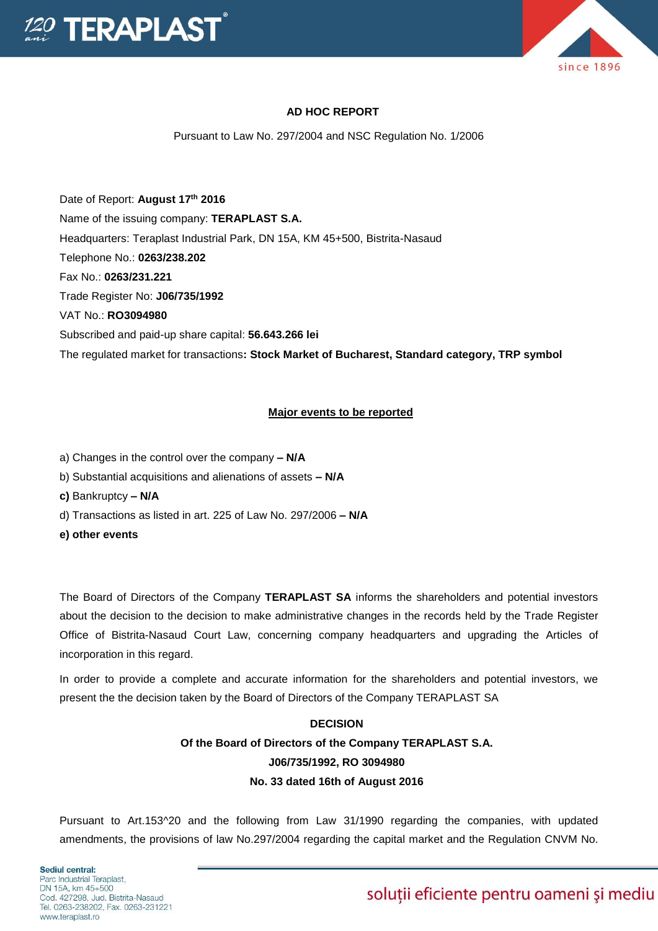

#### **AD HOC REPORT**

Pursuant to Law No. 297/2004 and NSC Regulation No. 1/2006

Date of Report: **August 17th 2016** Name of the issuing company: **TERAPLAST S.A.**  Headquarters: Teraplast Industrial Park, DN 15A, KM 45+500, Bistrita-Nasaud Telephone No.: **0263/238.202** Fax No.: **0263/231.221** Trade Register No: **J06/735/1992** VAT No.: **RO3094980** Subscribed and paid-up share capital: **56.643.266 lei**  The regulated market for transactions**: Stock Market of Bucharest, Standard category, TRP symbol**

#### **Major events to be reported**

- a) Changes in the control over the company **– N/A**
- b) Substantial acquisitions and alienations of assets **– N/A**
- **c)** Bankruptcy **– N/A**
- d) Transactions as listed in art. 225 of Law No. 297/2006 **– N/A**
- **e) other events**

The Board of Directors of the Company **TERAPLAST SA** informs the shareholders and potential investors about the decision to the decision to make administrative changes in the records held by the Trade Register Office of Bistrita-Nasaud Court Law, concerning company headquarters and upgrading the Articles of incorporation in this regard.

In order to provide a complete and accurate information for the shareholders and potential investors, we present the the decision taken by the Board of Directors of the Company TERAPLAST SA

### **DECISION Of the Board of Directors of the Company TERAPLAST S.A. J06/735/1992, RO 3094980 No. 33 dated 16th of August 2016**

Pursuant to Art.153^20 and the following from Law 31/1990 regarding the companies, with updated amendments, the provisions of law No.297/2004 regarding the capital market and the Regulation CNVM No.

soluții eficiente pentru oameni și mediu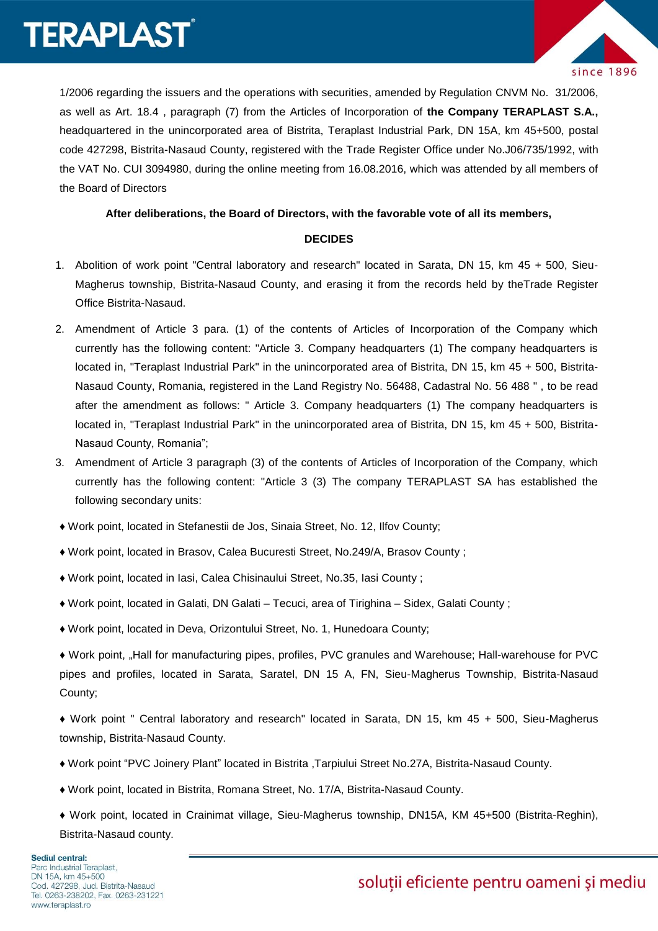## **TERAPLAST**



1/2006 regarding the issuers and the operations with securities, amended by Regulation CNVM No. 31/2006, as well as Art. 18.4 , paragraph (7) from the Articles of Incorporation of **the Company TERAPLAST S.A.,** headquartered in the unincorporated area of Bistrita, Teraplast Industrial Park, DN 15A, km 45+500, postal code 427298, Bistrita-Nasaud County, registered with the Trade Register Office under No.J06/735/1992, with the VAT No. CUI 3094980, during the online meeting from 16.08.2016, which was attended by all members of the Board of Directors

#### **After deliberations, the Board of Directors, with the favorable vote of all its members,**

#### **DECIDES**

- 1. Abolition of work point "Central laboratory and research" located in Sarata, DN 15, km 45 + 500, Sieu-Magherus township, Bistrita-Nasaud County, and erasing it from the records held by theTrade Register Office Bistrita-Nasaud.
- 2. Amendment of Article 3 para. (1) of the contents of Articles of Incorporation of the Company which currently has the following content: "Article 3. Company headquarters (1) The company headquarters is located in, "Teraplast Industrial Park" in the unincorporated area of Bistrita, DN 15, km 45 + 500, Bistrita-Nasaud County, Romania, registered in the Land Registry No. 56488, Cadastral No. 56 488 " , to be read after the amendment as follows: " Article 3. Company headquarters (1) The company headquarters is located in, "Teraplast Industrial Park" in the unincorporated area of Bistrita, DN 15, km 45 + 500, Bistrita-Nasaud County, Romania";
- 3. Amendment of Article 3 paragraph (3) of the contents of Articles of Incorporation of the Company, which currently has the following content: "Article 3 (3) The company TERAPLAST SA has established the following secondary units:
- ♦ Work point, located in Stefanestii de Jos, Sinaia Street, No. 12, Ilfov County;
- ♦ Work point, located in Brasov, Calea Bucuresti Street, No.249/A, Brasov County ;
- ♦ Work point, located in Iasi, Calea Chisinaului Street, No.35, Iasi County ;
- ♦ Work point, located in Galati, DN Galati Tecuci, area of Tirighina Sidex, Galati County ;
- ♦ Work point, located in Deva, Orizontului Street, No. 1, Hunedoara County;
- ♦ Work point, "Hall for manufacturing pipes, profiles, PVC granules and Warehouse; Hall-warehouse for PVC pipes and profiles, located in Sarata, Saratel, DN 15 A, FN, Sieu-Magherus Township, Bistrita-Nasaud County;
- ♦ Work point " Central laboratory and research" located in Sarata, DN 15, km 45 + 500, Sieu-Magherus township, Bistrita-Nasaud County.
- ♦ Work point "PVC Joinery Plant" located in Bistrita ,Tarpiului Street No.27A, Bistrita-Nasaud County.
- ♦ Work point, located in Bistrita, Romana Street, No. 17/A, Bistrita-Nasaud County.
- ♦ Work point, located in Crainimat village, Sieu-Magherus township, DN15A, KM 45+500 (Bistrita-Reghin), Bistrita-Nasaud county.

### soluții eficiente pentru oameni și mediu